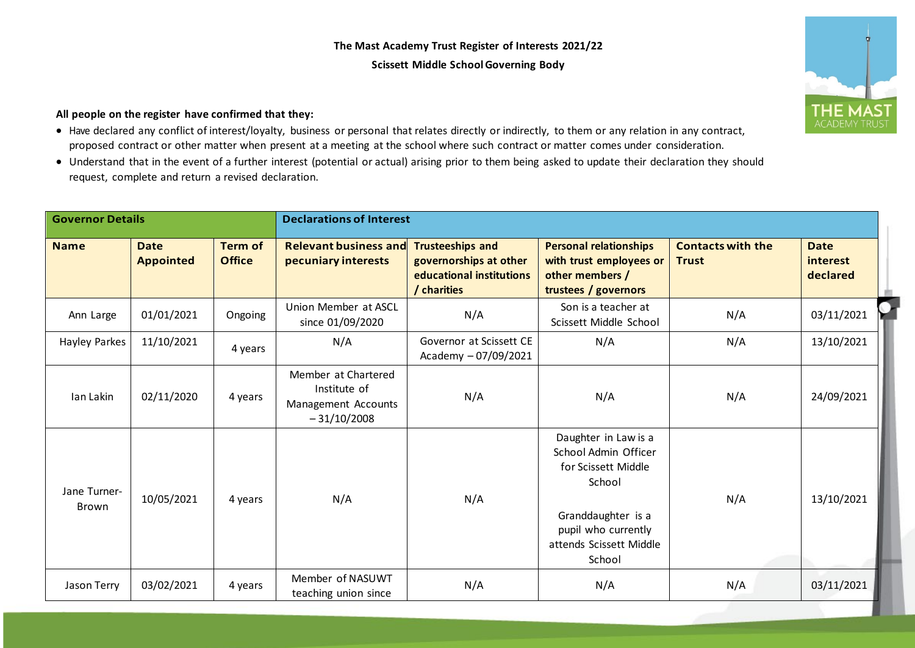## **The Mast Academy Trust Register of Interests 2021/22 Scissett Middle School Governing Body**



## **All people on the register have confirmed that they:**

- Have declared any conflict of interest/loyalty, business or personal that relates directly or indirectly, to them or any relation in any contract, proposed contract or other matter when present at a meeting at the school where such contract or matter comes under consideration.
- Understand that in the event of a further interest (potential or actual) arising prior to them being asked to update their declaration they should request, complete and return a revised declaration.

| <b>Governor Details</b> |                                 |                                 | <b>Declarations of Interest</b>                                             |                                                                                              |                                                                                                                                                                 |                                          |                                     |  |
|-------------------------|---------------------------------|---------------------------------|-----------------------------------------------------------------------------|----------------------------------------------------------------------------------------------|-----------------------------------------------------------------------------------------------------------------------------------------------------------------|------------------------------------------|-------------------------------------|--|
| <b>Name</b>             | <b>Date</b><br><b>Appointed</b> | <b>Term of</b><br><b>Office</b> | <b>Relevant business and</b><br>pecuniary interests                         | <b>Trusteeships and</b><br>governorships at other<br>educational institutions<br>/ charities | <b>Personal relationships</b><br>with trust employees or<br>other members /<br>trustees / governors                                                             | <b>Contacts with the</b><br><b>Trust</b> | <b>Date</b><br>interest<br>declared |  |
| Ann Large               | 01/01/2021                      | Ongoing                         | Union Member at ASCL<br>since 01/09/2020                                    | N/A                                                                                          | Son is a teacher at<br>Scissett Middle School                                                                                                                   | N/A                                      | 03/11/2021                          |  |
| Hayley Parkes           | 11/10/2021                      | 4 years                         | N/A                                                                         | Governor at Scissett CE<br>Academy - 07/09/2021                                              | N/A                                                                                                                                                             | N/A                                      | 13/10/2021                          |  |
| Ian Lakin               | 02/11/2020                      | 4 years                         | Member at Chartered<br>Institute of<br>Management Accounts<br>$-31/10/2008$ | N/A                                                                                          | N/A                                                                                                                                                             | N/A                                      | 24/09/2021                          |  |
| Jane Turner-<br>Brown   | 10/05/2021                      | 4 years                         | N/A                                                                         | N/A                                                                                          | Daughter in Law is a<br>School Admin Officer<br>for Scissett Middle<br>School<br>Granddaughter is a<br>pupil who currently<br>attends Scissett Middle<br>School | N/A                                      | 13/10/2021                          |  |
| Jason Terry             | 03/02/2021                      | 4 years                         | Member of NASUWT<br>teaching union since                                    | N/A                                                                                          | N/A                                                                                                                                                             | N/A                                      | 03/11/2021                          |  |